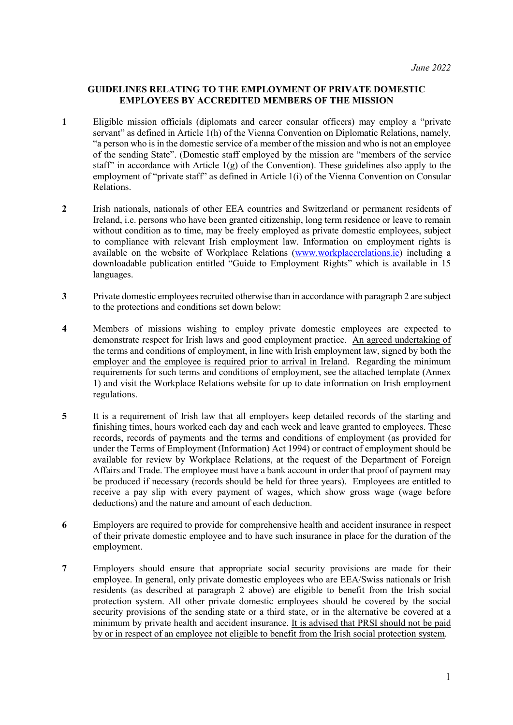## **GUIDELINES RELATING TO THE EMPLOYMENT OF PRIVATE DOMESTIC EMPLOYEES BY ACCREDITED MEMBERS OF THE MISSION**

- **1** Eligible mission officials (diplomats and career consular officers) may employ a "private servant" as defined in Article 1(h) of the Vienna Convention on Diplomatic Relations, namely, "a person who is in the domestic service of a member of the mission and who is not an employee of the sending State". (Domestic staff employed by the mission are "members of the service staff" in accordance with Article  $1(g)$  of the Convention). These guidelines also apply to the employment of "private staff" as defined in Article 1(i) of the Vienna Convention on Consular Relations.
- **2** Irish nationals, nationals of other EEA countries and Switzerland or permanent residents of Ireland, i.e. persons who have been granted citizenship, long term residence or leave to remain without condition as to time, may be freely employed as private domestic employees, subject to compliance with relevant Irish employment law. Information on employment rights is available on the website of Workplace Relations [\(www.workplacerelations.ie\)](http://www.workplacerelations.ie/) including a downloadable publication entitled "Guide to Employment Rights" which is available in 15 languages.
- **3** Private domestic employees recruited otherwise than in accordance with paragraph 2 are subject to the protections and conditions set down below:
- **4** Members of missions wishing to employ private domestic employees are expected to demonstrate respect for Irish laws and good employment practice. An agreed undertaking of the terms and conditions of employment, in line with Irish employment law, signed by both the employer and the employee is required prior to arrival in Ireland. Regarding the minimum requirements for such terms and conditions of employment, see the attached template (Annex 1) and visit the Workplace Relations website for up to date information on Irish employment regulations.
- **5** It is a requirement of Irish law that all employers keep detailed records of the starting and finishing times, hours worked each day and each week and leave granted to employees. These records, records of payments and the terms and conditions of employment (as provided for under the Terms of Employment (Information) Act 1994) or contract of employment should be available for review by Workplace Relations, at the request of the Department of Foreign Affairs and Trade. The employee must have a bank account in order that proof of payment may be produced if necessary (records should be held for three years). Employees are entitled to receive a pay slip with every payment of wages, which show gross wage (wage before deductions) and the nature and amount of each deduction.
- **6** Employers are required to provide for comprehensive health and accident insurance in respect of their private domestic employee and to have such insurance in place for the duration of the employment.
- **7** Employers should ensure that appropriate social security provisions are made for their employee. In general, only private domestic employees who are EEA/Swiss nationals or Irish residents (as described at paragraph 2 above) are eligible to benefit from the Irish social protection system. All other private domestic employees should be covered by the social security provisions of the sending state or a third state, or in the alternative be covered at a minimum by private health and accident insurance. It is advised that PRSI should not be paid by or in respect of an employee not eligible to benefit from the Irish social protection system.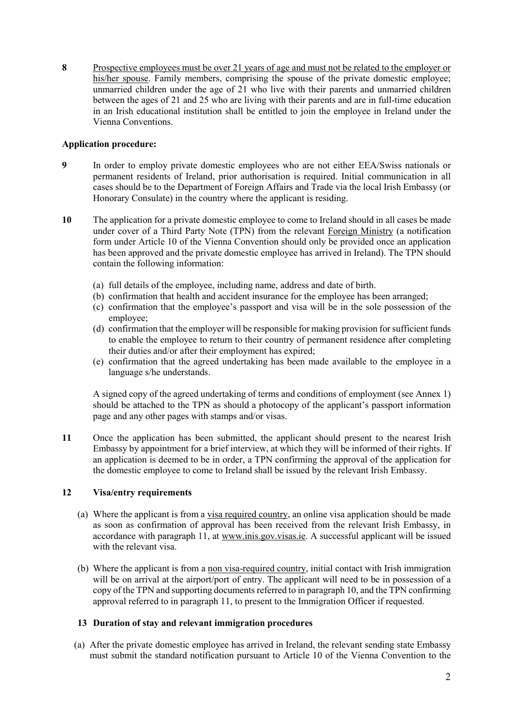**8** Prospective employees must be over 21 years of age and must not be related to the employer or his/her spouse. Family members, comprising the spouse of the private domestic employee; unmarried children under the age of 21 who live with their parents and unmarried children between the ages of 21 and 25 who are living with their parents and are in full-time education in an Irish educational institution shall be entitled to join the employee in Ireland under the Vienna Conventions.

## **Application procedure:**

- **9** In order to employ private domestic employees who are not either EEA/Swiss nationals or permanent residents of Ireland, prior authorisation is required. Initial communication in all cases should be to the Department of Foreign Affairs and Trade via the local Irish Embassy (or Honorary Consulate) in the country where the applicant is residing.
- **10** The application for a private domestic employee to come to Ireland should in all cases be made under cover of a Third Party Note (TPN) from the relevant Foreign Ministry (a notification form under Article 10 of the Vienna Convention should only be provided once an application has been approved and the private domestic employee has arrived in Ireland). The TPN should contain the following information:
	- (a) full details of the employee, including name, address and date of birth.
	- (b) confirmation that health and accident insurance for the employee has been arranged;
	- (c) confirmation that the employee's passport and visa will be in the sole possession of the employee;
	- (d) confirmation that the employer will be responsible for making provision for sufficient funds to enable the employee to return to their country of permanent residence after completing their duties and/or after their employment has expired;
	- (e) confirmation that the agreed undertaking has been made available to the employee in a language s/he understands.

A signed copy of the agreed undertaking of terms and conditions of employment (see Annex 1) should be attached to the TPN as should a photocopy of the applicant's passport information page and any other pages with stamps and/or visas.

**11** Once the application has been submitted, the applicant should present to the nearest Irish Embassy by appointment for a brief interview, at which they will be informed of their rights. If an application is deemed to be in order, a TPN confirming the approval of the application for the domestic employee to come to Ireland shall be issued by the relevant Irish Embassy.

## **12 Visa/entry requirements**

- (a) Where the applicant is from a visa required country, an online visa application should be made as soon as confirmation of approval has been received from the relevant Irish Embassy, in accordance with paragraph 11, at [www.inis.gov.visas.ie.](http://www.inis.gov.visas.ie/) A successful applicant will be issued with the relevant visa.
- (b) Where the applicant is from a non visa-required country, initial contact with Irish immigration will be on arrival at the airport/port of entry. The applicant will need to be in possession of a copy of the TPN and supporting documents referred to in paragraph 10, and the TPN confirming approval referred to in paragraph 11, to present to the Immigration Officer if requested.

## **13 Duration of stay and relevant immigration procedures**

(a) After the private domestic employee has arrived in Ireland, the relevant sending state Embassy must submit the standard notification pursuant to Article 10 of the Vienna Convention to the